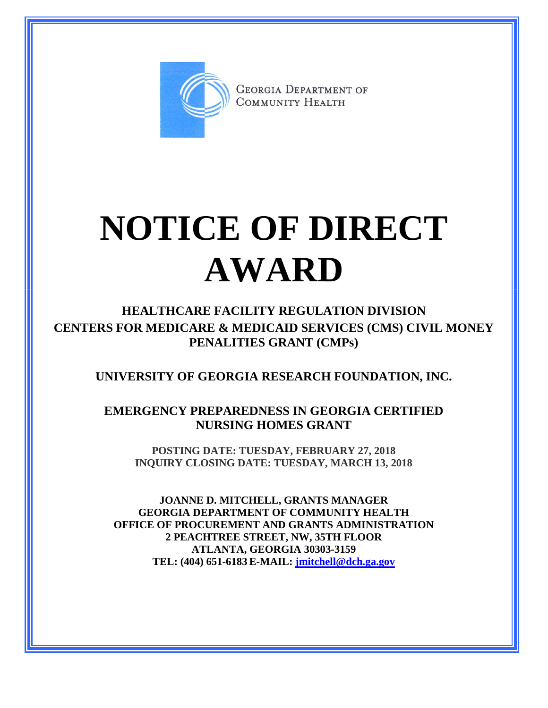

**GEORGIA DEPARTMENT OF** COMMUNITY HEALTH

## **NOTICE OF DIRECT AWARD**

**HEALTHCARE FACILITY REGULATION DIVISION CENTERS FOR MEDICARE & MEDICAID SERVICES (CMS) CIVIL MONEY PENALITIES GRANT (CMPs)**

**UNIVERSITY OF GEORGIA RESEARCH FOUNDATION, INC.**

**EMERGENCY PREPAREDNESS IN GEORGIA CERTIFIED NURSING HOMES GRANT**

**POSTING DATE: TUESDAY, FEBRUARY 27, 2018 INQUIRY CLOSING DATE: TUESDAY, MARCH 13, 2018**

**JOANNE D. MITCHELL, GRANTS MANAGER GEORGIA DEPARTMENT OF COMMUNITY HEALTH OFFICE OF PROCUREMENT AND GRANTS ADMINISTRATION 2 PEACHTREE STREET, NW, 35TH FLOOR ATLANTA, GEORGIA 30303-3159 TEL: (404) 651-6183 E-MAIL: [jmitchell@dch.ga.gov](mailto:awatson@dch.ga.gov)**